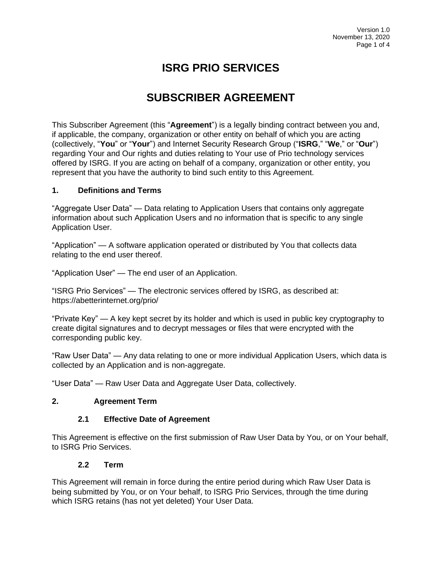# **ISRG PRIO SERVICES**

# **SUBSCRIBER AGREEMENT**

This Subscriber Agreement (this "**Agreement**") is a legally binding contract between you and, if applicable, the company, organization or other entity on behalf of which you are acting (collectively, "**You**" or "**Your**") and Internet Security Research Group ("**ISRG**," "**We**," or "**Our**") regarding Your and Our rights and duties relating to Your use of Prio technology services offered by ISRG. If you are acting on behalf of a company, organization or other entity, you represent that you have the authority to bind such entity to this Agreement.

#### **1. Definitions and Terms**

"Aggregate User Data" — Data relating to Application Users that contains only aggregate information about such Application Users and no information that is specific to any single Application User.

"Application" — A software application operated or distributed by You that collects data relating to the end user thereof.

"Application User" — The end user of an Application.

"ISRG Prio Services" — The electronic services offered by ISRG, as described at: https://abetterinternet.org/prio/

"Private Key" — A key kept secret by its holder and which is used in public key cryptography to create digital signatures and to decrypt messages or files that were encrypted with the corresponding public key.

"Raw User Data" — Any data relating to one or more individual Application Users, which data is collected by an Application and is non-aggregate.

"User Data" — Raw User Data and Aggregate User Data, collectively.

#### **2. Agreement Term**

#### **2.1 Effective Date of Agreement**

This Agreement is effective on the first submission of Raw User Data by You, or on Your behalf, to ISRG Prio Services.

#### **2.2 Term**

This Agreement will remain in force during the entire period during which Raw User Data is being submitted by You, or on Your behalf, to ISRG Prio Services, through the time during which ISRG retains (has not yet deleted) Your User Data.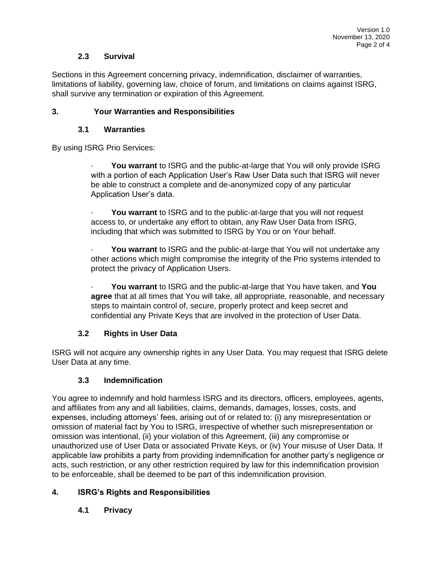#### **2.3 Survival**

Sections in this Agreement concerning privacy, indemnification, disclaimer of warranties, limitations of liability, governing law, choice of forum, and limitations on claims against ISRG, shall survive any termination or expiration of this Agreement.

#### **3. Your Warranties and Responsibilities**

#### **3.1 Warranties**

By using ISRG Prio Services:

You warrant to ISRG and the public-at-large that You will only provide ISRG with a portion of each Application User's Raw User Data such that ISRG will never be able to construct a complete and de-anonymized copy of any particular Application User's data.

You warrant to ISRG and to the public-at-large that you will not request access to, or undertake any effort to obtain, any Raw User Data from ISRG, including that which was submitted to ISRG by You or on Your behalf.

You warrant to ISRG and the public-at-large that You will not undertake any other actions which might compromise the integrity of the Prio systems intended to protect the privacy of Application Users.

· **You warrant** to ISRG and the public-at-large that You have taken, and **You agree** that at all times that You will take, all appropriate, reasonable, and necessary steps to maintain control of, secure, properly protect and keep secret and confidential any Private Keys that are involved in the protection of User Data.

## **3.2 Rights in User Data**

ISRG will not acquire any ownership rights in any User Data. You may request that ISRG delete User Data at any time.

## **3.3 Indemnification**

You agree to indemnify and hold harmless ISRG and its directors, officers, employees, agents, and affiliates from any and all liabilities, claims, demands, damages, losses, costs, and expenses, including attorneys' fees, arising out of or related to: (i) any misrepresentation or omission of material fact by You to ISRG, irrespective of whether such misrepresentation or omission was intentional, (ii) your violation of this Agreement, (iii) any compromise or unauthorized use of User Data or associated Private Keys, or (iv) Your misuse of User Data. If applicable law prohibits a party from providing indemnification for another party's negligence or acts, such restriction, or any other restriction required by law for this indemnification provision to be enforceable, shall be deemed to be part of this indemnification provision.

## **4. ISRG's Rights and Responsibilities**

## **4.1 Privacy**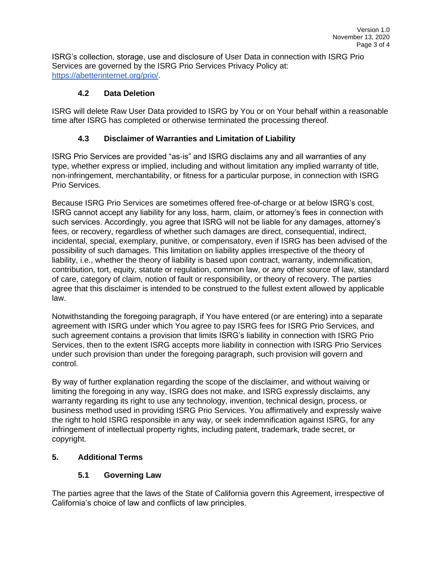ISRG's collection, storage, use and disclosure of User Data in connection with ISRG Prio Services are governed by the ISRG Prio Services Privacy Policy at[:](https://abetterinternet.org/prio/) [https://abetterinternet.org/prio/.](https://abetterinternet.org/prio/)

## **4.2 Data Deletion**

ISRG will delete Raw User Data provided to ISRG by You or on Your behalf within a reasonable time after ISRG has completed or otherwise terminated the processing thereof.

# **4.3 Disclaimer of Warranties and Limitation of Liability**

ISRG Prio Services are provided "as-is" and ISRG disclaims any and all warranties of any type, whether express or implied, including and without limitation any implied warranty of title, non-infringement, merchantability, or fitness for a particular purpose, in connection with ISRG Prio Services.

Because ISRG Prio Services are sometimes offered free-of-charge or at below ISRG's cost, ISRG cannot accept any liability for any loss, harm, claim, or attorney's fees in connection with such services. Accordingly, you agree that ISRG will not be liable for any damages, attorney's fees, or recovery, regardless of whether such damages are direct, consequential, indirect, incidental, special, exemplary, punitive, or compensatory, even if ISRG has been advised of the possibility of such damages. This limitation on liability applies irrespective of the theory of liability, i.e., whether the theory of liability is based upon contract, warranty, indemnification, contribution, tort, equity, statute or regulation, common law, or any other source of law, standard of care, category of claim, notion of fault or responsibility, or theory of recovery. The parties agree that this disclaimer is intended to be construed to the fullest extent allowed by applicable law.

Notwithstanding the foregoing paragraph, if You have entered (or are entering) into a separate agreement with ISRG under which You agree to pay ISRG fees for ISRG Prio Services, and such agreement contains a provision that limits ISRG's liability in connection with ISRG Prio Services, then to the extent ISRG accepts more liability in connection with ISRG Prio Services under such provision than under the foregoing paragraph, such provision will govern and control.

By way of further explanation regarding the scope of the disclaimer, and without waiving or limiting the foregoing in any way, ISRG does not make, and ISRG expressly disclaims, any warranty regarding its right to use any technology, invention, technical design, process, or business method used in providing ISRG Prio Services. You affirmatively and expressly waive the right to hold ISRG responsible in any way, or seek indemnification against ISRG, for any infringement of intellectual property rights, including patent, trademark, trade secret, or copyright.

# **5. Additional Terms**

# **5.1 Governing Law**

The parties agree that the laws of the State of California govern this Agreement, irrespective of California's choice of law and conflicts of law principles.